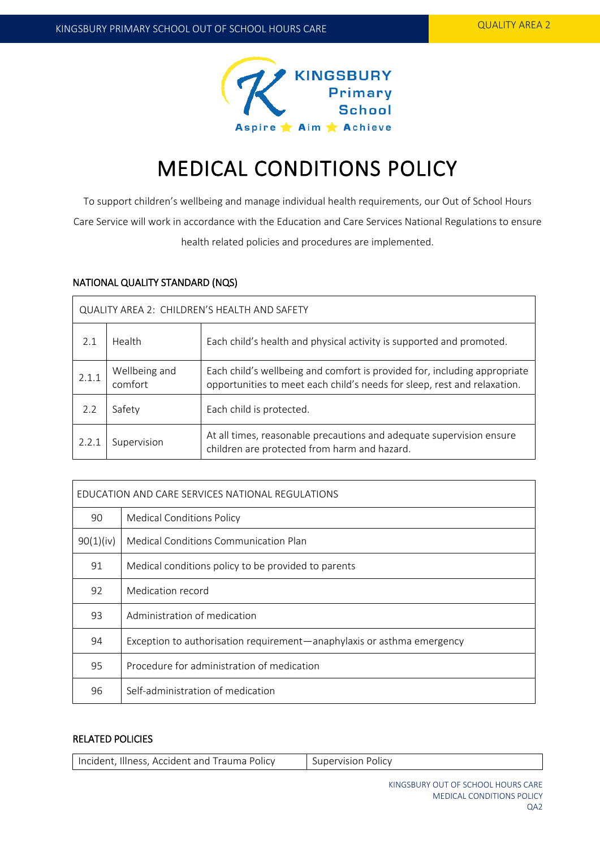

# MEDICAL CONDITIONS POLICY

To support children's wellbeing and manage individual health requirements, our Out of School Hours Care Service will work in accordance with the Education and Care Services National Regulations to ensure health related policies and procedures are implemented.

## NATIONAL QUALITY STANDARD (NQS)

| QUALITY AREA 2: CHILDREN'S HEALTH AND SAFETY |                          |                                                                                                                                                       |  |  |  |
|----------------------------------------------|--------------------------|-------------------------------------------------------------------------------------------------------------------------------------------------------|--|--|--|
| 2.1                                          | Health                   | Each child's health and physical activity is supported and promoted.                                                                                  |  |  |  |
| 2.1.1                                        | Wellbeing and<br>comfort | Each child's wellbeing and comfort is provided for, including appropriate<br>opportunities to meet each child's needs for sleep, rest and relaxation. |  |  |  |
| 2.2                                          | Safety                   | Each child is protected.                                                                                                                              |  |  |  |
| 2.2.1                                        | Supervision              | At all times, reasonable precautions and adequate supervision ensure<br>children are protected from harm and hazard.                                  |  |  |  |

| EDUCATION AND CARE SERVICES NATIONAL REGULATIONS |                                                                        |  |  |  |
|--------------------------------------------------|------------------------------------------------------------------------|--|--|--|
| 90                                               | <b>Medical Conditions Policy</b>                                       |  |  |  |
| 90(1)(iv)                                        | Medical Conditions Communication Plan                                  |  |  |  |
| 91                                               | Medical conditions policy to be provided to parents                    |  |  |  |
| 92                                               | Medication record                                                      |  |  |  |
| 93                                               | Administration of medication                                           |  |  |  |
| 94                                               | Exception to authorisation requirement—anaphylaxis or asthma emergency |  |  |  |
| 95                                               | Procedure for administration of medication                             |  |  |  |
| 96                                               | Self-administration of medication                                      |  |  |  |

## RELATED POLICIES

| Incident, Illness, Accident and Trauma Policy | Supervision Policy |
|-----------------------------------------------|--------------------|
|-----------------------------------------------|--------------------|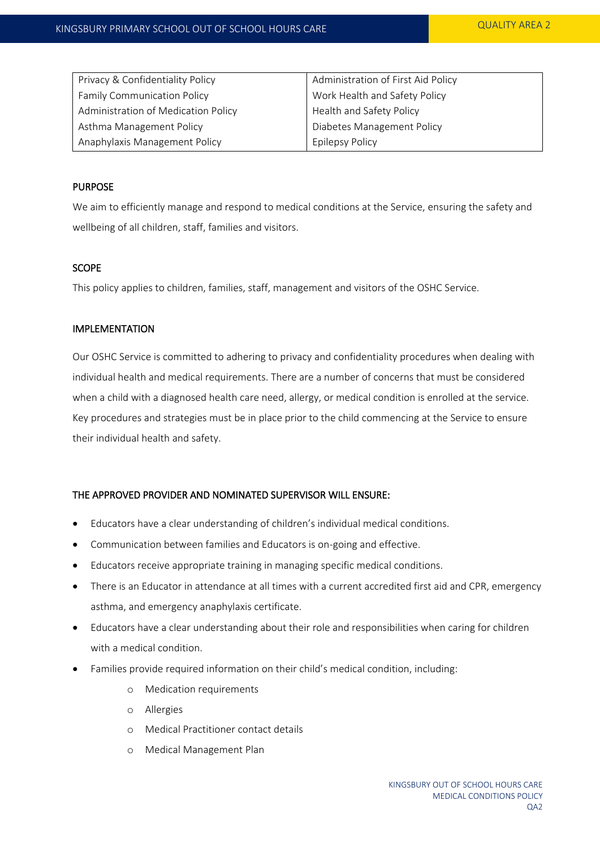| Privacy & Confidentiality Policy    | Administration of First Aid Policy |  |
|-------------------------------------|------------------------------------|--|
| <b>Family Communication Policy</b>  | Work Health and Safety Policy      |  |
| Administration of Medication Policy | Health and Safety Policy           |  |
| Asthma Management Policy            | Diabetes Management Policy         |  |
| Anaphylaxis Management Policy       | <b>Epilepsy Policy</b>             |  |

#### PURPOSE

We aim to efficiently manage and respond to medical conditions at the Service, ensuring the safety and wellbeing of all children, staff, families and visitors.

#### **SCOPE**

This policy applies to children, families, staff, management and visitors of the OSHC Service.

#### IMPLEMENTATION

Our OSHC Service is committed to adhering to privacy and confidentiality procedures when dealing with individual health and medical requirements. There are a number of concerns that must be considered when a child with a diagnosed health care need, allergy, or medical condition is enrolled at the service. Key procedures and strategies must be in place prior to the child commencing at the Service to ensure their individual health and safety.

#### THE APPROVED PROVIDER AND NOMINATED SUPERVISOR WILL ENSURE:

- Educators have a clear understanding of children's individual medical conditions.
- Communication between families and Educators is on-going and effective.
- Educators receive appropriate training in managing specific medical conditions.
- There is an Educator in attendance at all times with a current accredited first aid and CPR, emergency asthma, and emergency anaphylaxis certificate.
- Educators have a clear understanding about their role and responsibilities when caring for children with a medical condition.
- Families provide required information on their child's medical condition, including:
	- o Medication requirements
	- o Allergies
	- o Medical Practitioner contact details
	- o Medical Management Plan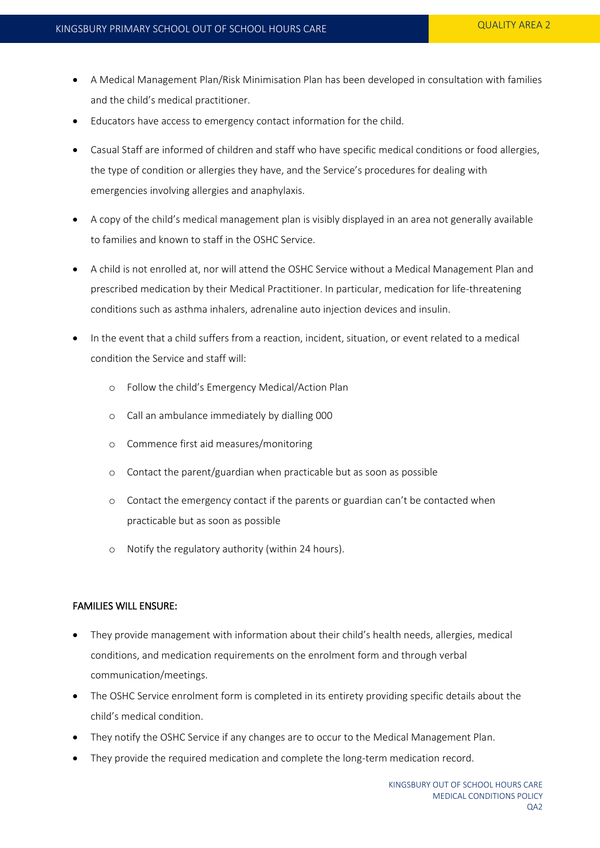- A Medical Management Plan/Risk Minimisation Plan has been developed in consultation with families and the child's medical practitioner.
- Educators have access to emergency contact information for the child.
- Casual Staff are informed of children and staff who have specific medical conditions or food allergies, the type of condition or allergies they have, and the Service's procedures for dealing with emergencies involving allergies and anaphylaxis.
- A copy of the child's medical management plan is visibly displayed in an area not generally available to families and known to staff in the OSHC Service.
- A child is not enrolled at, nor will attend the OSHC Service without a Medical Management Plan and prescribed medication by their Medical Practitioner. In particular, medication for life-threatening conditions such as asthma inhalers, adrenaline auto injection devices and insulin.
- In the event that a child suffers from a reaction, incident, situation, or event related to a medical condition the Service and staff will:
	- o Follow the child's Emergency Medical/Action Plan
	- o Call an ambulance immediately by dialling 000
	- o Commence first aid measures/monitoring
	- o Contact the parent/guardian when practicable but as soon as possible
	- o Contact the emergency contact if the parents or guardian can't be contacted when practicable but as soon as possible
	- o Notify the regulatory authority (within 24 hours).

## FAMILIES WILL ENSURE:

- They provide management with information about their child's health needs, allergies, medical conditions, and medication requirements on the enrolment form and through verbal communication/meetings.
- The OSHC Service enrolment form is completed in its entirety providing specific details about the child's medical condition.
- They notify the OSHC Service if any changes are to occur to the Medical Management Plan.
- They provide the required medication and complete the long-term medication record.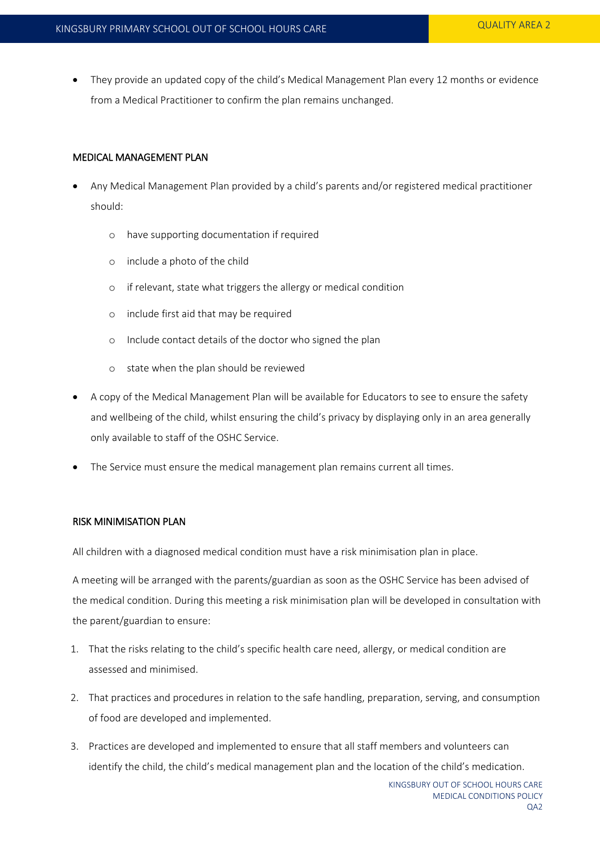They provide an updated copy of the child's Medical Management Plan every 12 months or evidence from a Medical Practitioner to confirm the plan remains unchanged.

### MEDICAL MANAGEMENT PLAN

- Any Medical Management Plan provided by a child's parents and/or registered medical practitioner should:
	- o have supporting documentation if required
	- o include a photo of the child
	- o if relevant, state what triggers the allergy or medical condition
	- o include first aid that may be required
	- o Include contact details of the doctor who signed the plan
	- o state when the plan should be reviewed
- A copy of the Medical Management Plan will be available for Educators to see to ensure the safety and wellbeing of the child, whilst ensuring the child's privacy by displaying only in an area generally only available to staff of the OSHC Service.
- The Service must ensure the medical management plan remains current all times.

#### RISK MINIMISATION PLAN

All children with a diagnosed medical condition must have a risk minimisation plan in place.

A meeting will be arranged with the parents/guardian as soon as the OSHC Service has been advised of the medical condition. During this meeting a risk minimisation plan will be developed in consultation with the parent/guardian to ensure:

- 1. That the risks relating to the child's specific health care need, allergy, or medical condition are assessed and minimised.
- 2. That practices and procedures in relation to the safe handling, preparation, serving, and consumption of food are developed and implemented.
- 3. Practices are developed and implemented to ensure that all staff members and volunteers can identify the child, the child's medical management plan and the location of the child's medication.